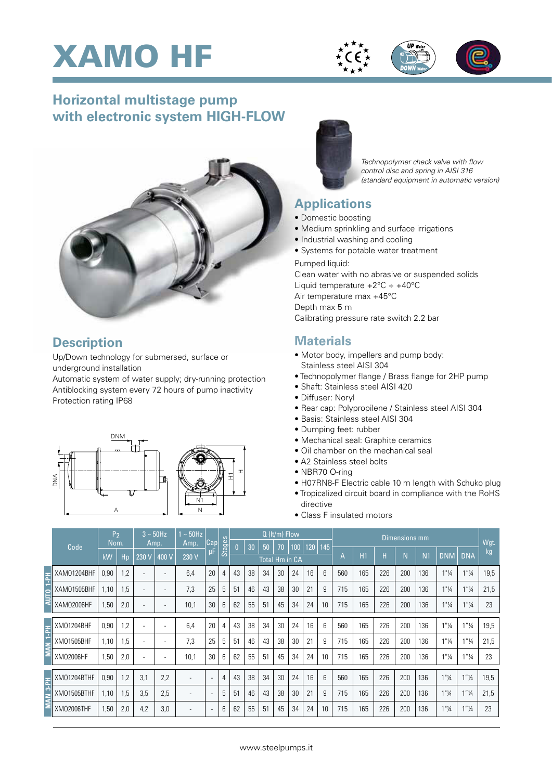





## **Horizontal multistage pump with electronic system HIGH-FLOW**



#### **Description**

Up/Down technology for submersed, surface or underground installation

Automatic system of water supply; dry-running protection Antiblocking system every 72 hours of pump inactivity Protection rating IP68





*Technopolymer check valve with flow control disc and spring in AISI 316 (standard equipment in automatic version)*

### **Applications**

- Domestic boosting
- Medium sprinkling and surface irrigations
- Industrial washing and cooling
- Systems for potable water treatment

Pumped liquid: Clean water with no abrasive or suspended solids Liquid temperature  $+2^{\circ}$ C  $\div$   $+40^{\circ}$ C Air temperature max +45°C Depth max 5 m Calibrating pressure rate switch 2.2 bar

### **Materials**

- Motor body, impellers and pump body: Stainless steel AISI 304
- Technopolymer flange / Brass flange for 2HP pump
- Shaft: Stainless steel AISI 420
- Diffuser: Noryl
- Rear cap: Polypropilene / Stainless steel AISI 304
- Basis: Stainless steel AISI 304
- Dumping feet: rubber
- Mechanical seal: Graphite ceramics
- Oil chamber on the mechanical seal
- A2 Stainless steel bolts
- NBR70 O-ring
- H07RN8-F Electric cable 10 m length with Schuko plug
- Tropicalized circuit board in compliance with the RoHS directive
- Class F insulated motors

|                  |             | P <sub>2</sub> |     | $3 \sim 50$ Hz           |       | $\sim$ 50Hz |                          |        | $Q$ (It/m) Flow |    |    |    |     |     |                    | Dimensions mm |     |                |            |            |                                  |                  |      |
|------------------|-------------|----------------|-----|--------------------------|-------|-------------|--------------------------|--------|-----------------|----|----|----|-----|-----|--------------------|---------------|-----|----------------|------------|------------|----------------------------------|------------------|------|
| Code             |             | Nom.           |     | Amp.                     |       | Amp.        | Cap                      | Stages | IO.             | 30 | 50 | 70 | 100 | 120 | 145                |               |     |                |            |            |                                  | Wgt.             |      |
|                  |             | kW             | Hp  | 230 V                    | 400 V | 230 V       | μF                       |        | Total Hm in CA  |    |    |    |     |     | H1<br>$\mathsf{A}$ | Н             | N   | N <sub>1</sub> | <b>DNM</b> | <b>DNA</b> | kg                               |                  |      |
| 굴                | XAM01204BHF | 0,90           | 1,2 |                          |       | 6,4         | 20                       | 4      | 43              | 38 | 34 | 30 | 24  | 16  | 6                  | 560           | 165 | 226            | 200        | 136        | $1"$ <sup>1</sup> / <sub>4</sub> | $1''\frac{1}{4}$ | 19,5 |
|                  | XAM01505BHF | 1,10           | 1,5 |                          |       | 7,3         | 25                       | 5      | 51              | 46 | 43 | 38 | 30  | 21  | 9                  | 715           | 165 | 226            | 200        | 136        | $1"$ <sup>1</sup> / <sub>4</sub> | $1''\frac{1}{4}$ | 21,5 |
|                  | XAM02006HF  | 1,50           | 2,0 | $\overline{a}$           |       | 10,1        | 30                       | 6      | 62              | 55 | 51 | 45 | 34  | 24  | 10                 | 715           | 165 | 226            | 200        | 136        | $1"$ <sup>1</sup> / <sub>4</sub> | $1''\frac{1}{4}$ | 23   |
|                  |             |                |     |                          |       |             |                          |        |                 |    |    |    |     |     |                    |               |     |                |            |            |                                  |                  |      |
| Hd <sup>-1</sup> | XM01204BHF  | 0,90           | 1,2 | $\overline{\phantom{a}}$ |       | 6.4         | 20                       | 4      | 43              | 38 | 34 | 30 | 24  | 16  | 6                  | 560           | 165 | 226            | 200        | 136        | 1"14                             | $1''\frac{1}{4}$ | 19,5 |
|                  | XM01505BHF  | 1.10           | 1,5 | $\overline{\phantom{a}}$ |       | 7.3         | 25                       | 5      | 51              | 46 | 43 | 38 | 30  | 21  | 9                  | 715           | 165 | 226            | 200        | 136        | 1"14                             | $1''\frac{1}{4}$ | 21,5 |
|                  | XM02006HF   | 1,50           | 2,0 | $\overline{\phantom{a}}$ |       | 10,1        | 30                       | 6      | 62              | 55 | 51 | 45 | 34  | 24  | 10                 | 715           | 165 | 226            | 200        | 136        | 1"14                             | $1''\frac{1}{4}$ | 23   |
|                  |             |                |     |                          |       |             |                          |        |                 |    |    |    |     |     |                    |               |     |                |            |            |                                  |                  |      |
| 굴                | XM01204BTHF | 0,90           | 1,2 | 3,1                      | 2,2   |             | $\overline{\phantom{a}}$ | 4      | 43              | 38 | 34 | 30 | 24  | 16  | $6\overline{6}$    | 560           | 165 | 226            | 200        | 136        | 1"14                             | $1''\frac{1}{4}$ | 19,5 |
| d,               | XM01505BTHF | 1,10           | 1,5 | 3,5                      | 2,5   |             | $\overline{\phantom{a}}$ | 5      | 51              | 46 | 43 | 38 | 30  | 21  | 9                  | 715           | 165 | 226            | 200        | 136        | 1"14                             | $1''\frac{1}{4}$ | 21,5 |
|                  | XM02006THF  | 1,50           | 2,0 | 4,2                      | 3,0   |             | $\overline{\phantom{a}}$ | 6      | 62              | 55 | 51 | 45 | 34  | 24  | 10                 | 715           | 165 | 226            | 200        | 136        | $1"$ <sup>1</sup> / <sub>4</sub> | $1''\frac{1}{4}$ | 23   |